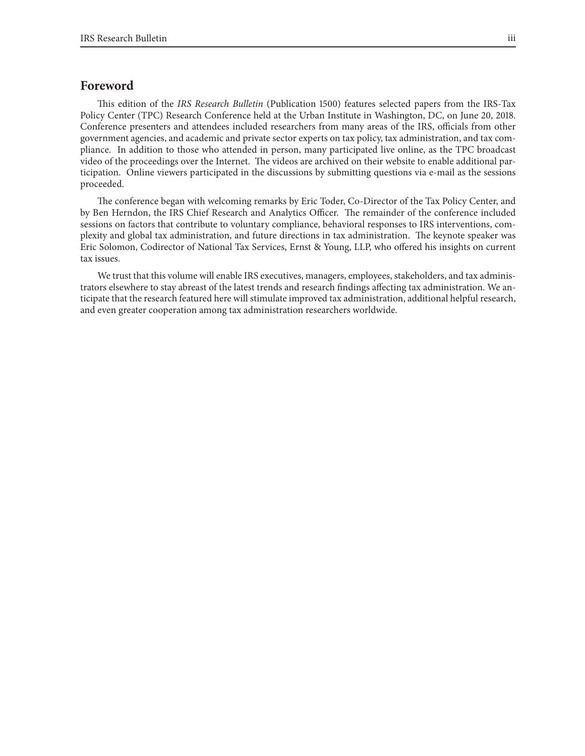## **Foreword**

This edition of the *IRS Research Bulletin* (Publication 1500) features selected papers from the IRS-Tax Policy Center (TPC) Research Conference held at the Urban Institute in Washington, DC, on June 20, 2018. Conference presenters and attendees included researchers from many areas of the IRS, officials from other government agencies, and academic and private sector experts on tax policy, tax administration, and tax compliance. In addition to those who attended in person, many participated live online, as the TPC broadcast video of the proceedings over the Internet. The videos are archived on their website to enable additional participation. Online viewers participated in the discussions by submitting questions via e-mail as the sessions proceeded.

The conference began with welcoming remarks by Eric Toder, Co-Director of the Tax Policy Center, and by Ben Herndon, the IRS Chief Research and Analytics Officer. The remainder of the conference included sessions on factors that contribute to voluntary compliance, behavioral responses to IRS interventions, complexity and global tax administration, and future directions in tax administration. The keynote speaker was Eric Solomon, Codirector of National Tax Services, Ernst & Young, LLP, who offered his insights on current tax issues.

We trust that this volume will enable IRS executives, managers, employees, stakeholders, and tax administrators elsewhere to stay abreast of the latest trends and research findings affecting tax administration. We anticipate that the research featured here will stimulate improved tax administration, additional helpful research, and even greater cooperation among tax administration researchers worldwide.